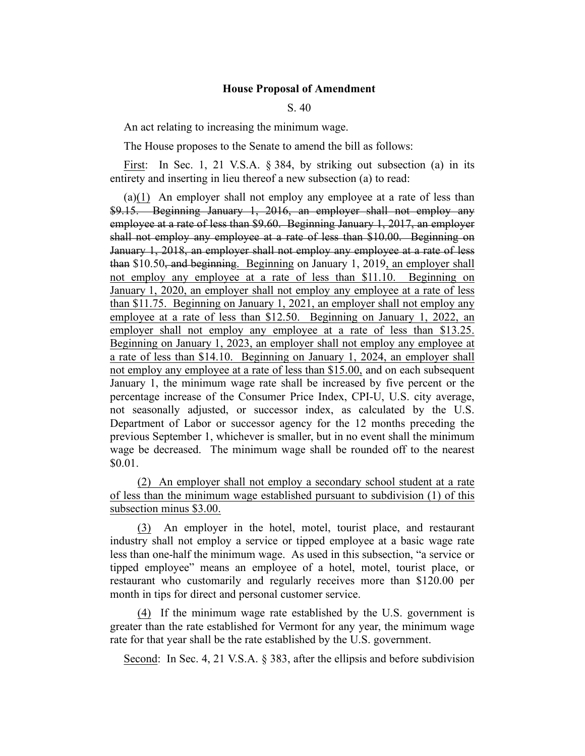## **House Proposal of Amendment**

## S. 40

An act relating to increasing the minimum wage.

The House proposes to the Senate to amend the bill as follows:

First: In Sec. 1, 21 V.S.A. § 384, by striking out subsection (a) in its entirety and inserting in lieu thereof a new subsection (a) to read:

(a)(1) An employer shall not employ any employee at a rate of less than \$9.15. Beginning January 1, 2016, an employer shall not employ any employee at a rate of less than \$9.60. Beginning January 1, 2017, an employer shall not employ any employee at a rate of less than \$10.00. Beginning on January 1, 2018, an employer shall not employ any employee at a rate of less than \$10.50, and beginning. Beginning on January 1, 2019, an employer shall not employ any employee at a rate of less than \$11.10. Beginning on January 1, 2020, an employer shall not employ any employee at a rate of less than \$11.75. Beginning on January 1, 2021, an employer shall not employ any employee at a rate of less than \$12.50. Beginning on January 1, 2022, an employer shall not employ any employee at a rate of less than \$13.25. Beginning on January 1, 2023, an employer shall not employ any employee at a rate of less than \$14.10. Beginning on January 1, 2024, an employer shall not employ any employee at a rate of less than \$15.00, and on each subsequent January 1, the minimum wage rate shall be increased by five percent or the percentage increase of the Consumer Price Index, CPI-U, U.S. city average, not seasonally adjusted, or successor index, as calculated by the U.S. Department of Labor or successor agency for the 12 months preceding the previous September 1, whichever is smaller, but in no event shall the minimum wage be decreased. The minimum wage shall be rounded off to the nearest \$0.01.

(2) An employer shall not employ a secondary school student at a rate of less than the minimum wage established pursuant to subdivision (1) of this subsection minus \$3.00.

(3) An employer in the hotel, motel, tourist place, and restaurant industry shall not employ a service or tipped employee at a basic wage rate less than one-half the minimum wage. As used in this subsection, "a service or tipped employee" means an employee of a hotel, motel, tourist place, or restaurant who customarily and regularly receives more than \$120.00 per month in tips for direct and personal customer service.

(4) If the minimum wage rate established by the U.S. government is greater than the rate established for Vermont for any year, the minimum wage rate for that year shall be the rate established by the U.S. government.

Second: In Sec. 4, 21 V.S.A. § 383, after the ellipsis and before subdivision